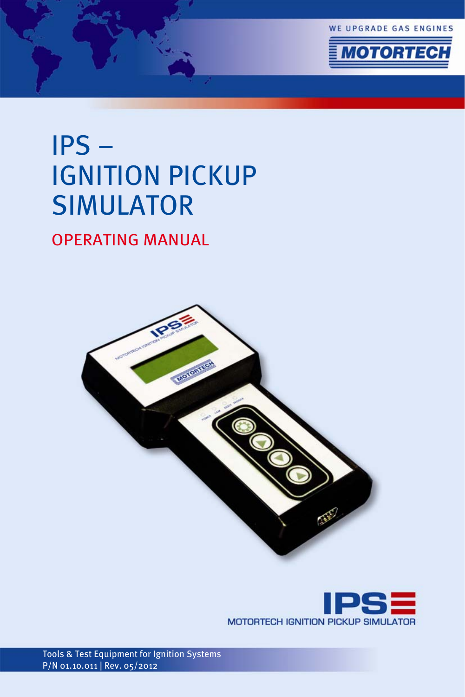



# IPS – IGNITION PICKUP SIMULATOR

OPERATING MANUAL





Tools & Test Equipment for Ignition Systems P/N 01.10.011 | Rev. 05/2012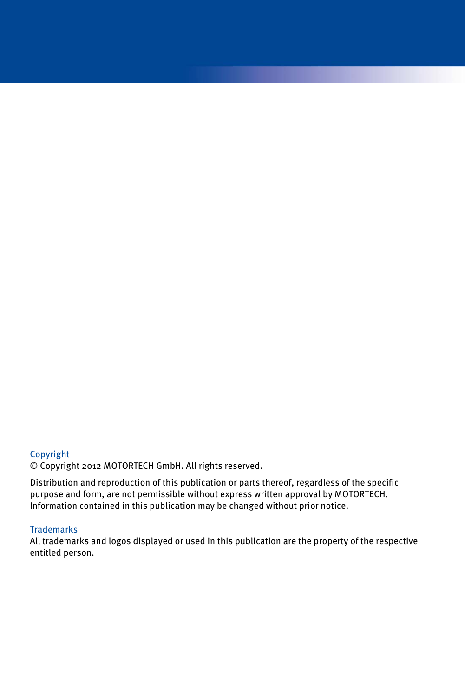### Copyright

© Copyright 2012 MOTORTECH GmbH. All rights reserved.

Distribution and reproduction of this publication or parts thereof, regardless of the specific purpose and form, are not permissible without express written approval by MOTORTECH. Information contained in this publication may be changed without prior notice.

### **Trademarks**

All trademarks and logos displayed or used in this publication are the property of the respective entitled person.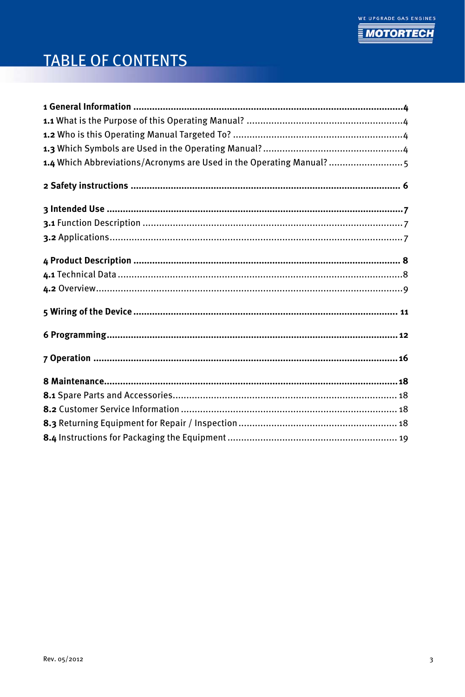

# **TABLE OF CONTENTS**

| 1.4 Which Abbreviations/Acronyms are Used in the Operating Manual? 5 |
|----------------------------------------------------------------------|
|                                                                      |
|                                                                      |
|                                                                      |
|                                                                      |
|                                                                      |
|                                                                      |
|                                                                      |
|                                                                      |
|                                                                      |
|                                                                      |
|                                                                      |
|                                                                      |
|                                                                      |
|                                                                      |
|                                                                      |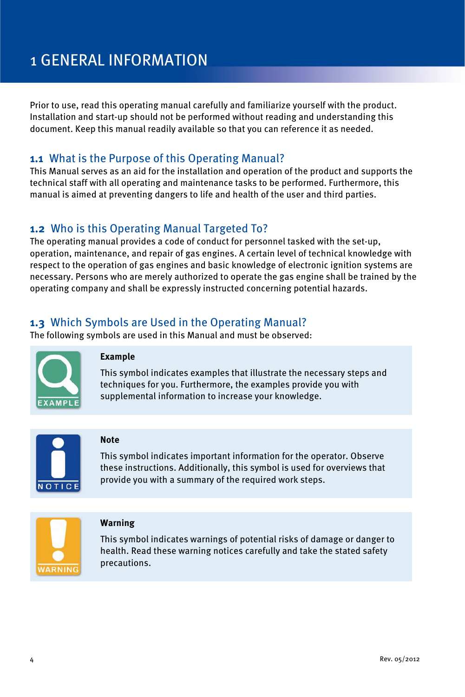# <span id="page-3-0"></span>1 GENERAL INFORMATION

Prior to use, read this operating manual carefully and familiarize yourself with the product. Installation and start-up should not be performed without reading and understanding this document. Keep this manual readily available so that you can reference it as needed.

### <span id="page-3-1"></span>**1.1** What is the Purpose of this Operating Manual?

This Manual serves as an aid for the installation and operation of the product and supports the technical staff with all operating and maintenance tasks to be performed. Furthermore, this manual is aimed at preventing dangers to life and health of the user and third parties.

## <span id="page-3-2"></span>**1.2** Who is this Operating Manual Targeted To?

The operating manual provides a code of conduct for personnel tasked with the set-up, operation, maintenance, and repair of gas engines. A certain level of technical knowledge with respect to the operation of gas engines and basic knowledge of electronic ignition systems are necessary. Persons who are merely authorized to operate the gas engine shall be trained by the operating company and shall be expressly instructed concerning potential hazards.

## <span id="page-3-3"></span>**1.3** Which Symbols are Used in the Operating Manual?

The following symbols are used in this Manual and must be observed:



#### **Example**

This symbol indicates examples that illustrate the necessary steps and techniques for you. Furthermore, the examples provide you with supplemental information to increase your knowledge.



#### **Note**

This symbol indicates important information for the operator. Observe these instructions. Additionally, this symbol is used for overviews that provide you with a summary of the required work steps.



#### **Warning**

This symbol indicates warnings of potential risks of damage or danger to health. Read these warning notices carefully and take the stated safety precautions.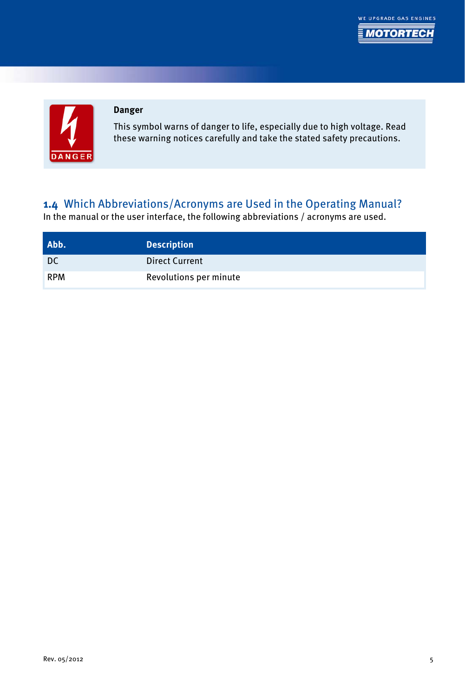





### **Danger**

This symbol warns of danger to life, especially due to high voltage. Read these warning notices carefully and take the stated safety precautions.

### <span id="page-4-0"></span>**1.4** Which Abbreviations/Acronyms are Used in the Operating Manual?

In the manual or the user interface, the following abbreviations / acronyms are used.

| Abb.       | <b>Description</b>     |
|------------|------------------------|
| DC         | <b>Direct Current</b>  |
| <b>RPM</b> | Revolutions per minute |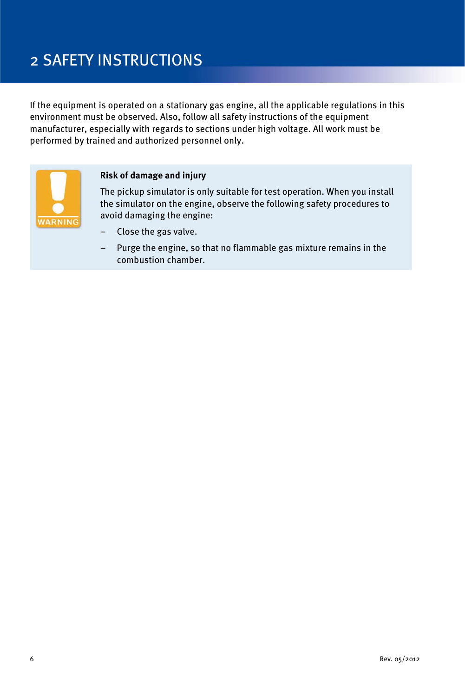# <span id="page-5-0"></span>2 SAFETY INSTRUCTIONS

If the equipment is operated on a stationary gas engine, all the applicable regulations in this environment must be observed. Also, follow all safety instructions of the equipment manufacturer, especially with regards to sections under high voltage. All work must be performed by trained and authorized personnel only.



#### **Risk of damage and injury**

The pickup simulator is only suitable for test operation. When you install the simulator on the engine, observe the following safety procedures to avoid damaging the engine:

- Close the gas valve.
- Purge the engine, so that no flammable gas mixture remains in the combustion chamber.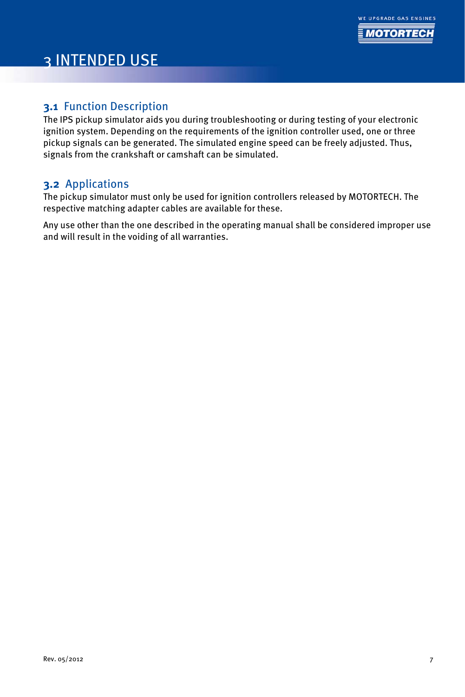# <span id="page-6-0"></span>3 INTENDED USE

### <span id="page-6-1"></span>**3.1** Function Description

The IPS pickup simulator aids you during troubleshooting or during testing of your electronic ignition system. Depending on the requirements of the ignition controller used, one or three pickup signals can be generated. The simulated engine speed can be freely adjusted. Thus, signals from the crankshaft or camshaft can be simulated.

### <span id="page-6-2"></span>**3.2** Applications

The pickup simulator must only be used for ignition controllers released by MOTORTECH. The respective matching adapter cables are available for these.

Any use other than the one described in the operating manual shall be considered improper use and will result in the voiding of all warranties.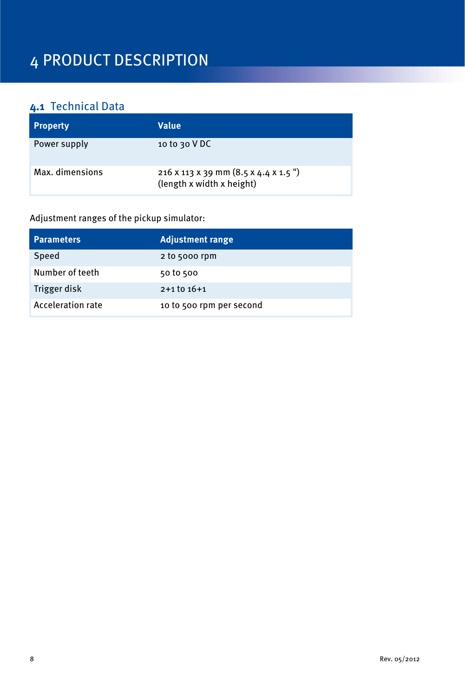# <span id="page-7-0"></span>4 PRODUCT DESCRIPTION

# <span id="page-7-1"></span>**4.1** Technical Data

| <b>Property</b> | Value                                                                                      |
|-----------------|--------------------------------------------------------------------------------------------|
| Power supply    | 10 to 30 $V$ DC                                                                            |
| Max. dimensions | $216 \times 113 \times 39$ mm $(8.5 \times 4.4 \times 1.5$ ")<br>(length x width x height) |

### Adjustment ranges of the pickup simulator:

| <b>Parameters</b>        | <b>Adjustment range</b>  |
|--------------------------|--------------------------|
| Speed                    | 2 to 5000 rpm            |
| Number of teeth          | 50 to 500                |
| Trigger disk             | $2+1$ to $16+1$          |
| <b>Acceleration rate</b> | 10 to 500 rpm per second |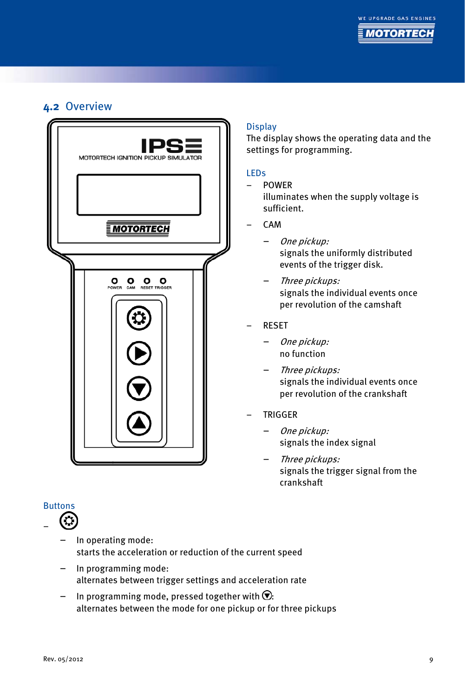## <span id="page-8-0"></span>**4.2** Overview



# Buttons

- - In operating mode: starts the acceleration or reduction of the current speed
	- In programming mode: alternates between trigger settings and acceleration rate
	- In programming mode, pressed together with  $\mathcal{D}$ : alternates between the mode for one pickup or for three pickups

### **Display**

The display shows the operating data and the settings for programming.

### LEDs

#### – POWER

illuminates when the supply voltage is sufficient.

- CAM
	- One pickup: signals the uniformly distributed events of the trigger disk.
	- Three pickups: signals the individual events once per revolution of the camshaft
- RESET
	- One pickup: no function
	- Three pickups: signals the individual events once per revolution of the crankshaft
- TRIGGER
	- One pickup: signals the index signal
	- Three pickups: signals the trigger signal from the crankshaft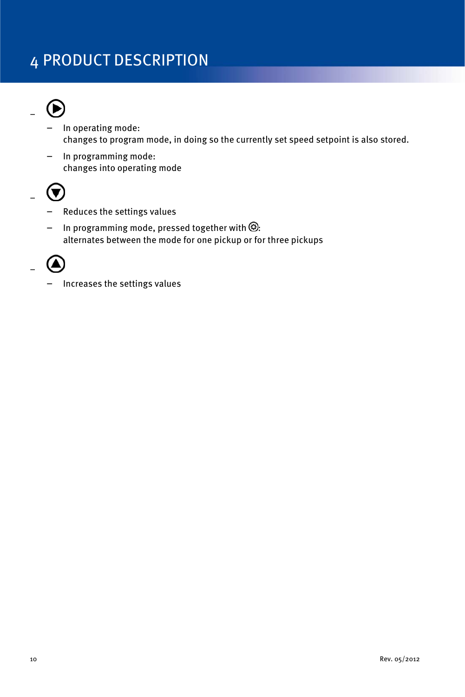# 4 PRODUCT DESCRIPTION



–

- In operating mode: changes to program mode, in doing so the currently set speed setpoint is also stored.
- In programming mode: changes into operating mode



- Reduces the settings values
- In programming mode, pressed together with  $\circledR$ : alternates between the mode for one pickup or for three pickups



– Increases the settings values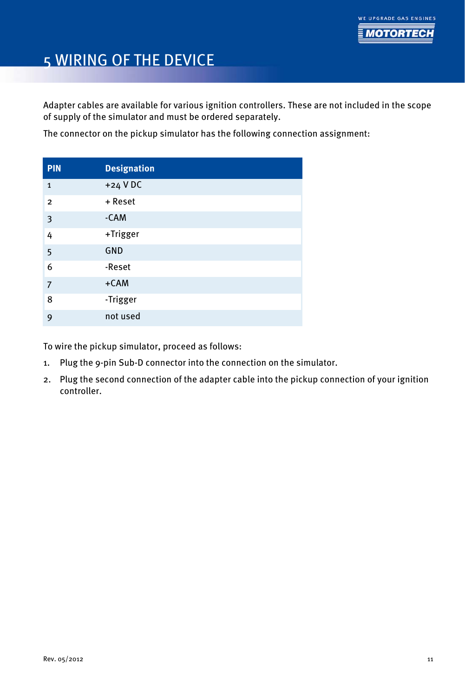

# <span id="page-10-0"></span>5 WIRING OF THE DEVICE

Adapter cables are available for various ignition controllers. These are not included in the scope of supply of the simulator and must be ordered separately.

The connector on the pickup simulator has the following connection assignment:

| <b>PIN</b>     | <b>Designation</b> |
|----------------|--------------------|
| $\mathbf{1}$   | $+24$ VDC          |
| $\overline{2}$ | + Reset            |
| 3              | -CAM               |
| 4              | +Trigger           |
| 5              | <b>GND</b>         |
| 6              | -Reset             |
| $\overline{7}$ | $+CAM$             |
| 8              | -Trigger           |
| 9              | not used           |

To wire the pickup simulator, proceed as follows:

- 1. Plug the 9-pin Sub-D connector into the connection on the simulator.
- 2. Plug the second connection of the adapter cable into the pickup connection of your ignition controller.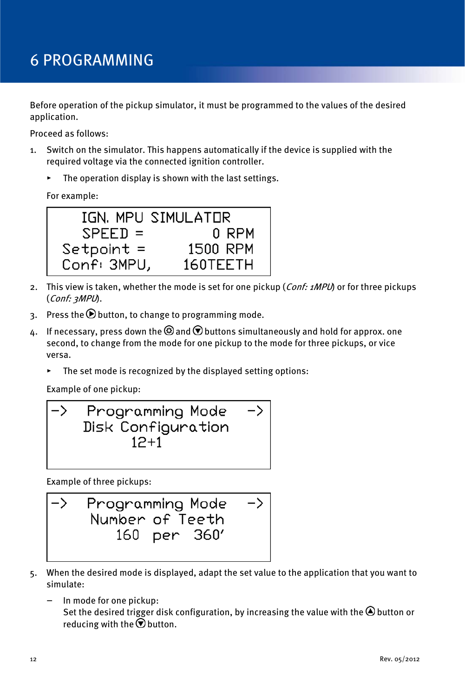# <span id="page-11-0"></span>6 PROGRAMMING

Before operation of the pickup simulator, it must be programmed to the values of the desired application.

Proceed as follows:

- 1. Switch on the simulator. This happens automatically if the device is supplied with the required voltage via the connected ignition controller.
	- ▸ The operation display is shown with the last settings.

For example:



- 2. This view is taken, whether the mode is set for one pickup (*Conf: 1MPU*) or for three pickups (Conf: 3MPU).
- 3. Press the  $\bigcirc$  button, to change to programming mode.
- $\Delta$ . If necessary, press down the  $\circledcirc$  and  $\circledcirc$  buttons simultaneously and hold for approx. one second, to change from the mode for one pickup to the mode for three pickups, or vice versa.
	- The set mode is recognized by the displayed setting options:

Example of one pickup:

Example of three pickups:



- 5. When the desired mode is displayed, adapt the set value to the application that you want to simulate:
	- In mode for one pickup: Set the desired trigger disk configuration, by increasing the value with the  $\bigcirc$  button or reducing with the  $\odot$  button.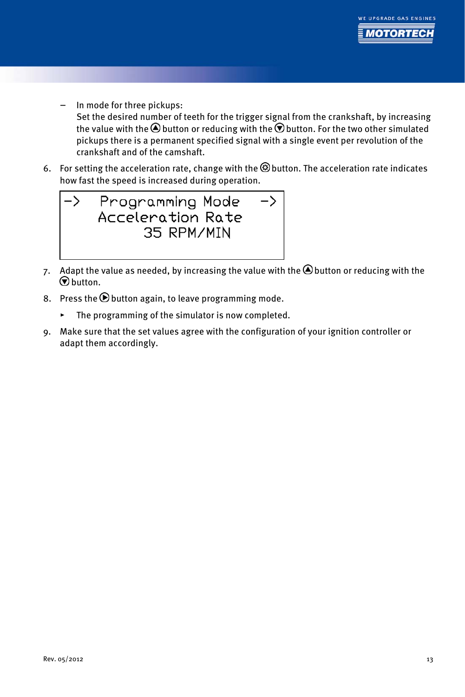

- In mode for three pickups: Set the desired number of teeth for the trigger signal from the crankshaft, by increasing the value with the  $\bigcirc$  button or reducing with the  $\bigcirc$  button. For the two other simulated pickups there is a permanent specified signal with a single event per revolution of the crankshaft and of the camshaft.
- 6. For setting the acceleration rate, change with the  $\circledB$  button. The acceleration rate indicates how fast the speed is increased during operation.



- 7. Adapt the value as needed, by increasing the value with the  $\bigcirc$  button or reducing with the  $\odot$  button.
- 8. Press the  $\Theta$  button again, to leave programming mode.
	- ▸ The programming of the simulator is now completed.
- 9. Make sure that the set values agree with the configuration of your ignition controller or adapt them accordingly.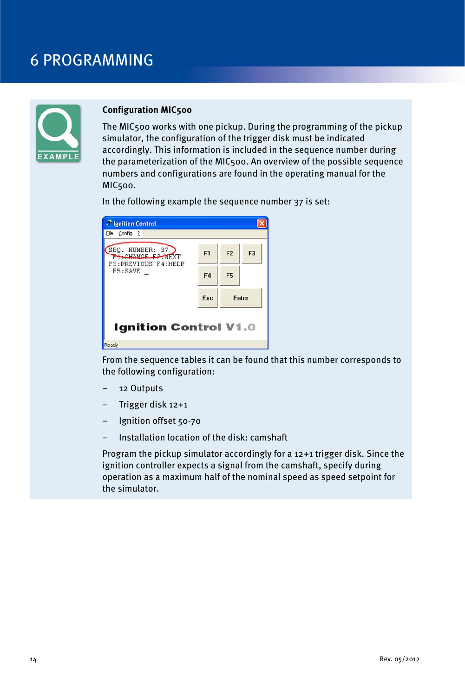# 6 PROGRAMMING



#### **Configuration MIC500**

The MIC500 works with one pickup. During the programming of the pickup simulator, the configuration of the trigger disk must be indicated accordingly. This information is included in the sequence number during the parameterization of the MIC500. An overview of the possible sequence numbers and configurations are found in the operating manual for the MIC500.

In the following example the sequence number 37 is set:

| <b>Ignition Control</b><br>Config ?<br>File |                |                |                |
|---------------------------------------------|----------------|----------------|----------------|
| SEQ. NUMBER: 37<br><b>FI-CHANGE F2-NEXT</b> | F <sub>1</sub> | F <sub>2</sub> | F <sub>3</sub> |
| F3:PREVIOUS F4:HELP<br>F5:SAVE              | F4             | F <sub>5</sub> |                |
|                                             | <b>Fsc</b>     |                | <b>F</b> nter  |
| <b>Ignition Control V1.0</b>                |                |                |                |
| Ready                                       |                |                |                |

From the sequence tables it can be found that this number corresponds to the following configuration:

- 12 Outputs
- Trigger disk 12+1
- Ignition offset 50-70
- Installation location of the disk: camshaft

Program the pickup simulator accordingly for a 12+1 trigger disk. Since the ignition controller expects a signal from the camshaft, specify during operation as a maximum half of the nominal speed as speed setpoint for the simulator.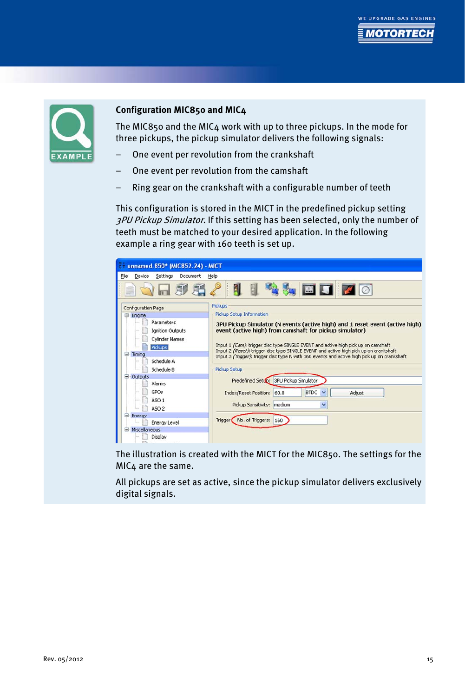



#### **Configuration MIC850 and MIC4**

The MIC850 and the MIC4 work with up to three pickups. In the mode for three pickups, the pickup simulator delivers the following signals:

- One event per revolution from the crankshaft
- One event per revolution from the camshaft
- Ring gear on the crankshaft with a configurable number of teeth

This configuration is stored in the MICT in the predefined pickup setting 3PU Pickup Simulator. If this setting has been selected, only the number of teeth must be matched to your desired application. In the following example a ring gear with 160 teeth is set up.

| unnamed.850* (MIC852.24) - MICT                                                                                      |                                                                                                                                                                                                                                                                                                                                                                                                                                             |  |  |
|----------------------------------------------------------------------------------------------------------------------|---------------------------------------------------------------------------------------------------------------------------------------------------------------------------------------------------------------------------------------------------------------------------------------------------------------------------------------------------------------------------------------------------------------------------------------------|--|--|
| Eile<br>Device<br>Settings<br>Document                                                                               | Help                                                                                                                                                                                                                                                                                                                                                                                                                                        |  |  |
|                                                                                                                      | 劅<br><b>AMEDIO</b>                                                                                                                                                                                                                                                                                                                                                                                                                          |  |  |
| Configuration Page                                                                                                   | <b>Pickups</b>                                                                                                                                                                                                                                                                                                                                                                                                                              |  |  |
| Engine                                                                                                               | Pickup Setup Information                                                                                                                                                                                                                                                                                                                                                                                                                    |  |  |
| Parameters<br><b>Ignition Outputs</b><br>Cylinder Names<br><b>Pickups</b><br>⊟<br>Timing<br>Schedule A<br>Schedule B | 3PU Pickup Simulator (N events (active high) and 1 reset event (active high)<br>event (active high) from camshaft for pickup simulator)<br>Input 1 (Cam) trigger disc type SINGLE EVENT and active high pick up on camshaft<br>Input 2 (Reset): trigger disc type SINGLE EVENT and active high pick up on crankshaft<br>Input 3 (Trigger): trigger disc type N with 160 events and active high pick up on crankshaft<br><b>Pickup Setup</b> |  |  |
| ⊟<br>Outputs                                                                                                         | Predefined Setup: 3PU Pickup Simulator                                                                                                                                                                                                                                                                                                                                                                                                      |  |  |
| Alarms                                                                                                               |                                                                                                                                                                                                                                                                                                                                                                                                                                             |  |  |
| GPOs                                                                                                                 | <b>BTDC</b><br>Adjust<br>Index/Reset Position: 60.0<br>$\checkmark$                                                                                                                                                                                                                                                                                                                                                                         |  |  |
| ASO <sub>1</sub><br>ASO <sub>2</sub>                                                                                 | Y<br>Pickup Sensitivity: medium                                                                                                                                                                                                                                                                                                                                                                                                             |  |  |
| ⊟<br>Energy                                                                                                          | No. of Triggers:                                                                                                                                                                                                                                                                                                                                                                                                                            |  |  |
| Energy Level                                                                                                         | Trigger<br>160                                                                                                                                                                                                                                                                                                                                                                                                                              |  |  |
| Miscellaneous<br>⊟                                                                                                   |                                                                                                                                                                                                                                                                                                                                                                                                                                             |  |  |
| Display                                                                                                              |                                                                                                                                                                                                                                                                                                                                                                                                                                             |  |  |

The illustration is created with the MICT for the MIC850. The settings for the MIC4 are the same.

All pickups are set as active, since the pickup simulator delivers exclusively digital signals.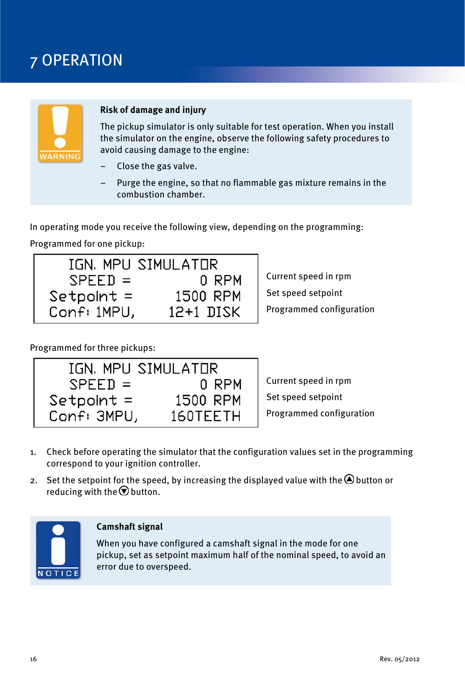# <span id="page-15-0"></span>7 OPERATION



#### **Risk of damage and injury**

The pickup simulator is only suitable for test operation. When you install the simulator on the engine, observe the following safety procedures to avoid causing damage to the engine:

- Close the gas valve.
- Purge the engine, so that no flammable gas mixture remains in the combustion chamber.

In operating mode you receive the following view, depending on the programming:

Programmed for one pickup:

|              | IGN, MPU SIMULATOR |
|--------------|--------------------|
| $SPEED =$    | 0 RPM              |
| $Setpoint =$ | 1500 RPM           |
| Conf: 1MPU,  | 12+1 DISK          |

Current speed in rpm Set speed setpoint Programmed configuration

Programmed for three pickups:

|              | IGN, MPU SIMULATOR |
|--------------|--------------------|
| $SPEED =$    | 0 RPM              |
| $Setpoint =$ | 1500 RPM           |
| Conf: 3MPU,  | 160TEETH           |

Current speed in rpm Set speed setpoint Programmed configuration

- 1. Check before operating the simulator that the configuration values set in the programming correspond to your ignition controller.
- 2. Set the setpoint for the speed, by increasing the displayed value with the  $\bigcirc$  button or reducing with the  $\bigcirc$  button.



#### **Camshaft signal**

When you have configured a camshaft signal in the mode for one pickup, set as setpoint maximum half of the nominal speed, to avoid an error due to overspeed.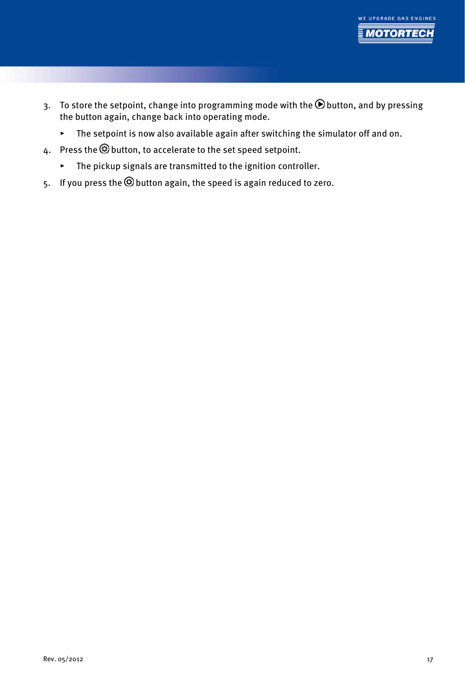

- 3. To store the setpoint, change into programming mode with the  $\bigcirc$  button, and by pressing the button again, change back into operating mode.
	- ▸ The setpoint is now also available again after switching the simulator off and on.
- 4. Press the  $\circledcirc$  button, to accelerate to the set speed setpoint.
	- ▸ The pickup signals are transmitted to the ignition controller.
- 5. If you press the **O** button again, the speed is again reduced to zero.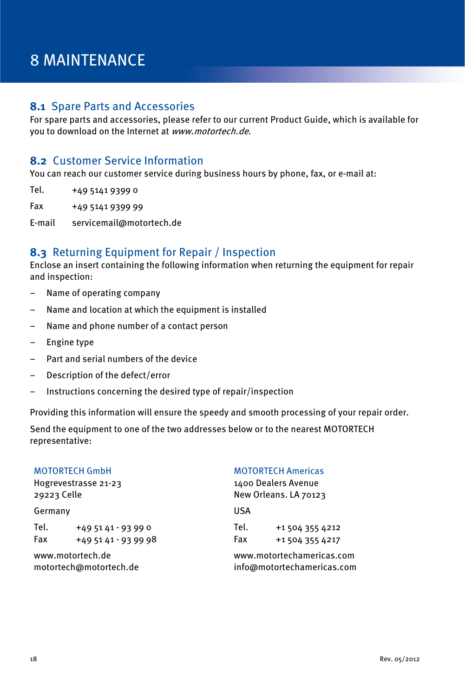# <span id="page-17-0"></span>8 MAINTENANCE

### <span id="page-17-1"></span>**8.1** Spare Parts and Accessories

For spare parts and accessories, please refer to our current Product Guide, which is available for you to download on the Internet at www.motortech.de.

### <span id="page-17-2"></span>**8.2** Customer Service Information

You can reach our customer service during business hours by phone, fax, or e-mail at:

- Tel. +49 5141 9399 0
- Fax +49 5141 9399 99

E-mail servicemail@motortech.de

### <span id="page-17-3"></span>**8.3** Returning Equipment for Repair / Inspection

Enclose an insert containing the following information when returning the equipment for repair and inspection:

- Name of operating company
- Name and location at which the equipment is installed
- Name and phone number of a contact person
- Engine type
- Part and serial numbers of the device
- Description of the defect/error
- Instructions concerning the desired type of repair/inspection

Providing this information will ensure the speedy and smooth processing of your repair order.

Send the equipment to one of the two addresses below or to the nearest MOTORTECH representative:

| <b>MOTORTECH GmbH</b>  |                    | <b>MOTORTECH Americas</b>  |                 |  |
|------------------------|--------------------|----------------------------|-----------------|--|
| Hogrevestrasse 21-23   |                    | 1400 Dealers Avenue        |                 |  |
| 29223 Celle            |                    | New Orleans. LA 70123      |                 |  |
| Germany                |                    | USA                        |                 |  |
| Tel.                   | $+495141 - 93990$  | Tel.                       | +1 504 355 4212 |  |
| Fax                    | $+495141 - 939998$ | Fax                        | +1 504 355 4217 |  |
| www.motortech.de       |                    | www.motortechamericas.com  |                 |  |
| motortech@motortech.de |                    | info@motortechamericas.com |                 |  |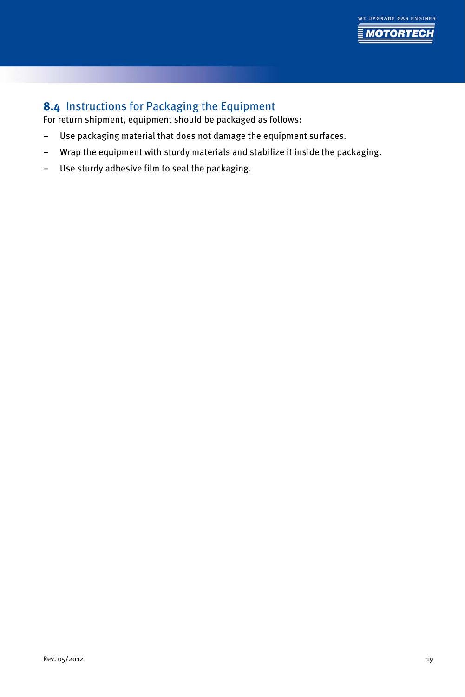

# <span id="page-18-0"></span>**8.4** Instructions for Packaging the Equipment

For return shipment, equipment should be packaged as follows:

- Use packaging material that does not damage the equipment surfaces.
- Wrap the equipment with sturdy materials and stabilize it inside the packaging.
- Use sturdy adhesive film to seal the packaging.